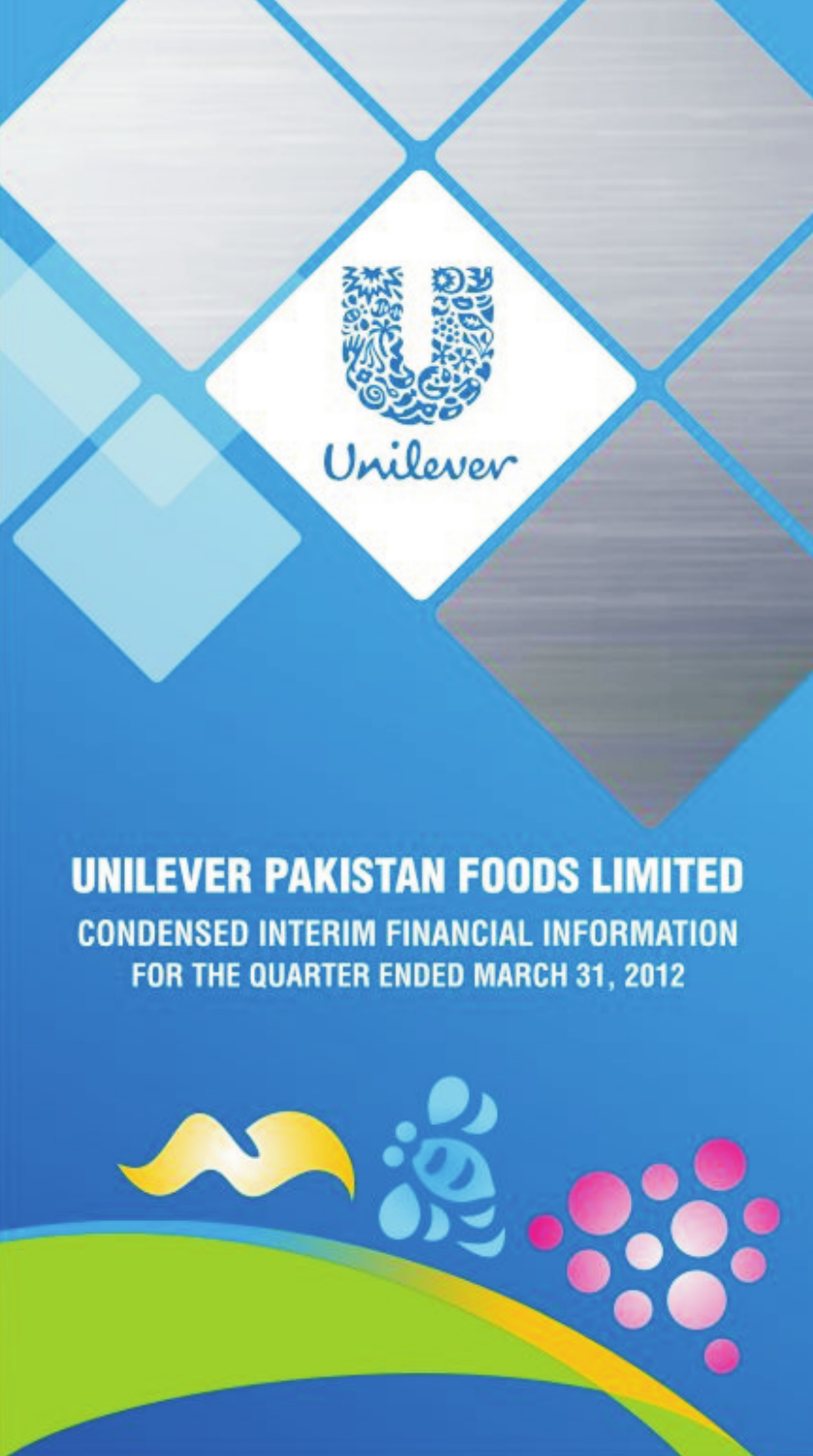

# **UNILEVER PAKISTAN FOODS LIMITED CONDENSED INTERIM FINANCIAL INFORMATION** FOR THE QUARTER ENDED MARCH 31, 2012

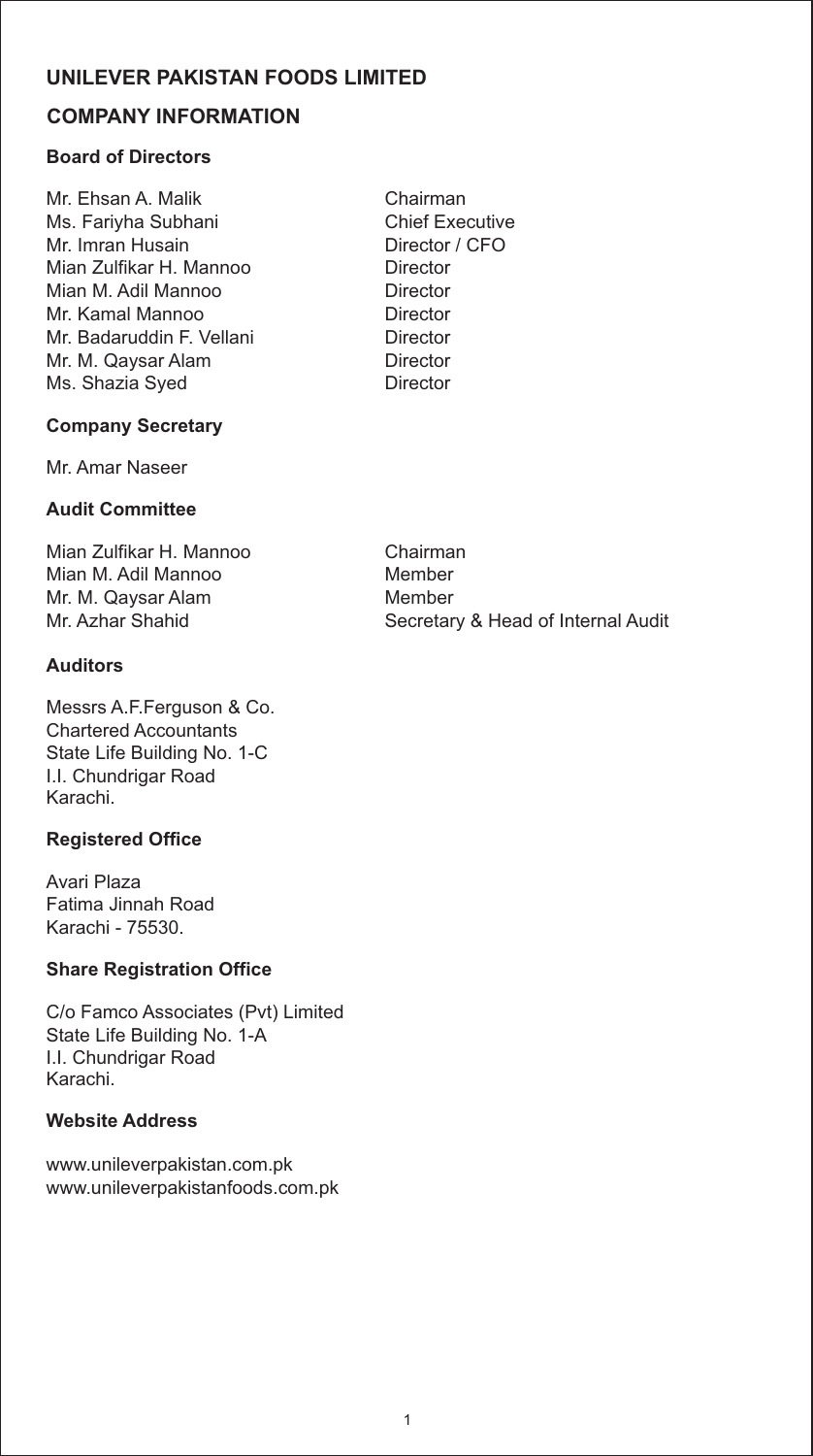# **COMPANY INFORMATION**

## **Board of Directors**

Mr. Ehsan A. Malik Chairman Ms. Fariyha Subhani **Chief Executive** Mr. Imran Husain Director / CFO Mian Zulfikar H. Mannoo **Director** Mian M. Adil Mannoo Director Mr. Kamal Mannoo **Director** Mr. Badaruddin F. Vellani **Director** Mr. M. Qaysar Alam **Director** Ms. Shazia Syed Director

# **Company Secretary**

Mr. Amar Naseer

## **Audit Committee**

Mian Zulfikar H. Mannoo Chairman Mian M. Adil Mannoo Member Mr. M. Qaysar Alam Member

## **Auditors**

Messrs A.F.Ferguson & Co. Chartered Accountants State Life Building No. 1-C I.I. Chundrigar Road Karachi.

#### **Registered Office**

Avari Plaza Fatima Jinnah Road Karachi - 75530.

#### **Share Registration Office**

C/o Famco Associates (Pvt) Limited State Life Building No. 1-A I.I. Chundrigar Road Karachi.

# **Website Address**

www.unileverpakistan.com.pk www.unileverpakistanfoods.com.pk

Mr. Azhar Shahid Secretary & Head of Internal Audit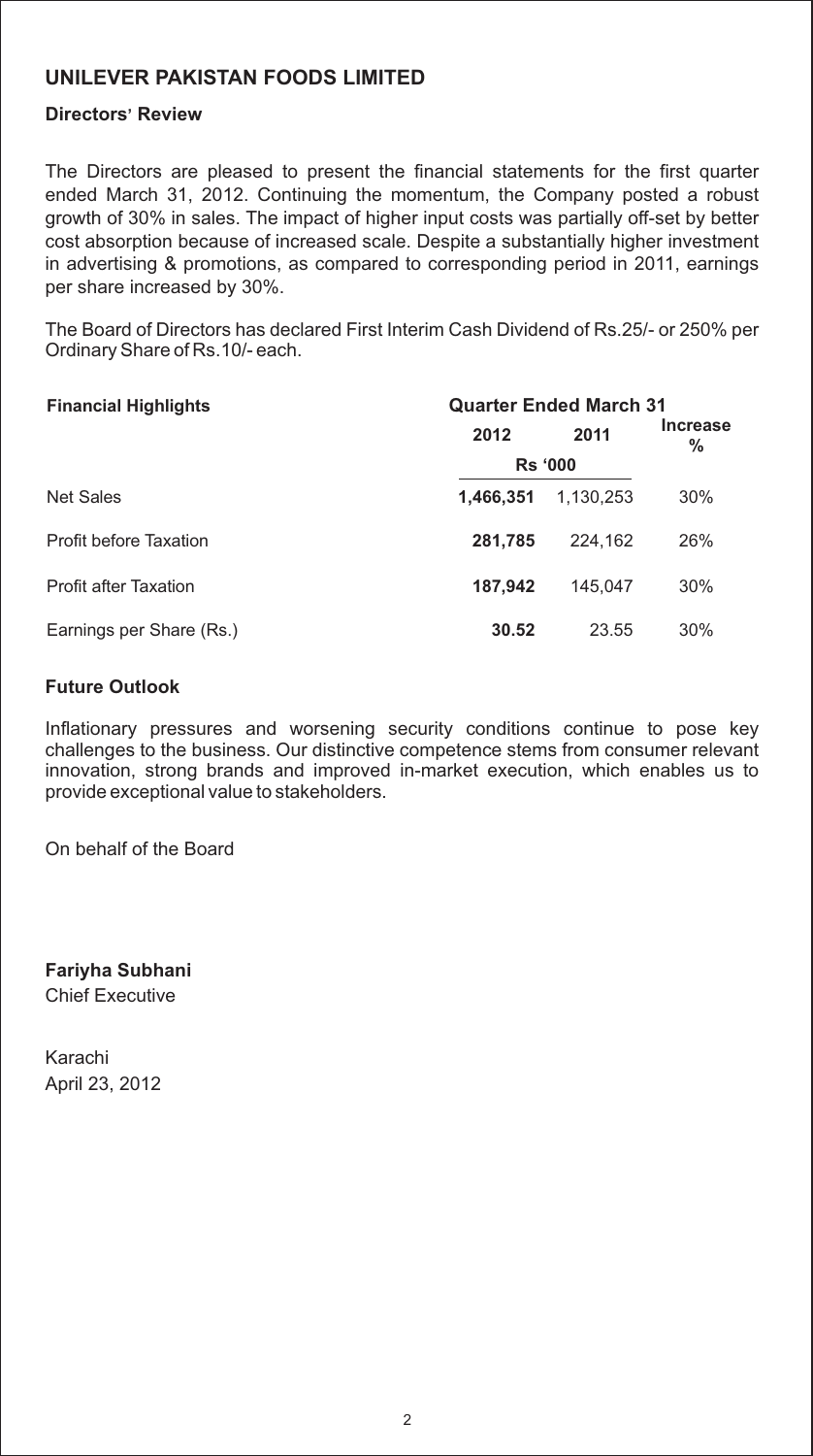## **Directors' Review**

The Directors are pleased to present the financial statements for the first quarter ended March 31, 2012. Continuing the momentum, the Company posted a robust growth of 30% in sales. The impact of higher input costs was partially off-set by better cost absorption because of increased scale. Despite a substantially higher investment in advertising & promotions, as compared to corresponding period in 2011, earnings per share increased by 30%.

The Board of Directors has declared First Interim Cash Dividend of Rs.25/- or 250% per Ordinary Share of Rs.10/- each.

| <b>Financial Highlights</b>  | <b>Quarter Ended March 31</b> |           |                                  |  |  |
|------------------------------|-------------------------------|-----------|----------------------------------|--|--|
|                              | 2011<br>2012                  |           | <b>Increase</b><br>$\frac{0}{0}$ |  |  |
|                              | <b>Rs '000</b>                |           |                                  |  |  |
| <b>Net Sales</b>             | 1.466.351                     | 1.130.253 | 30%                              |  |  |
| Profit before Taxation       | 281,785                       | 224.162   | 26%                              |  |  |
| <b>Profit after Taxation</b> | 187,942                       | 145.047   | 30%                              |  |  |
| Earnings per Share (Rs.)     | 30.52                         | 23.55     | 30%                              |  |  |

## **Future Outlook**

Inflationary pressures and worsening security conditions continue to pose key challenges to the business. Our distinctive competence stems from consumer relevant innovation, strong brands and improved in-market execution, which enables us to provide exceptional value to stakeholders.

On behalf of the Board

**Fariyha Subhani** Chief Executive

Karachi April 23, 2012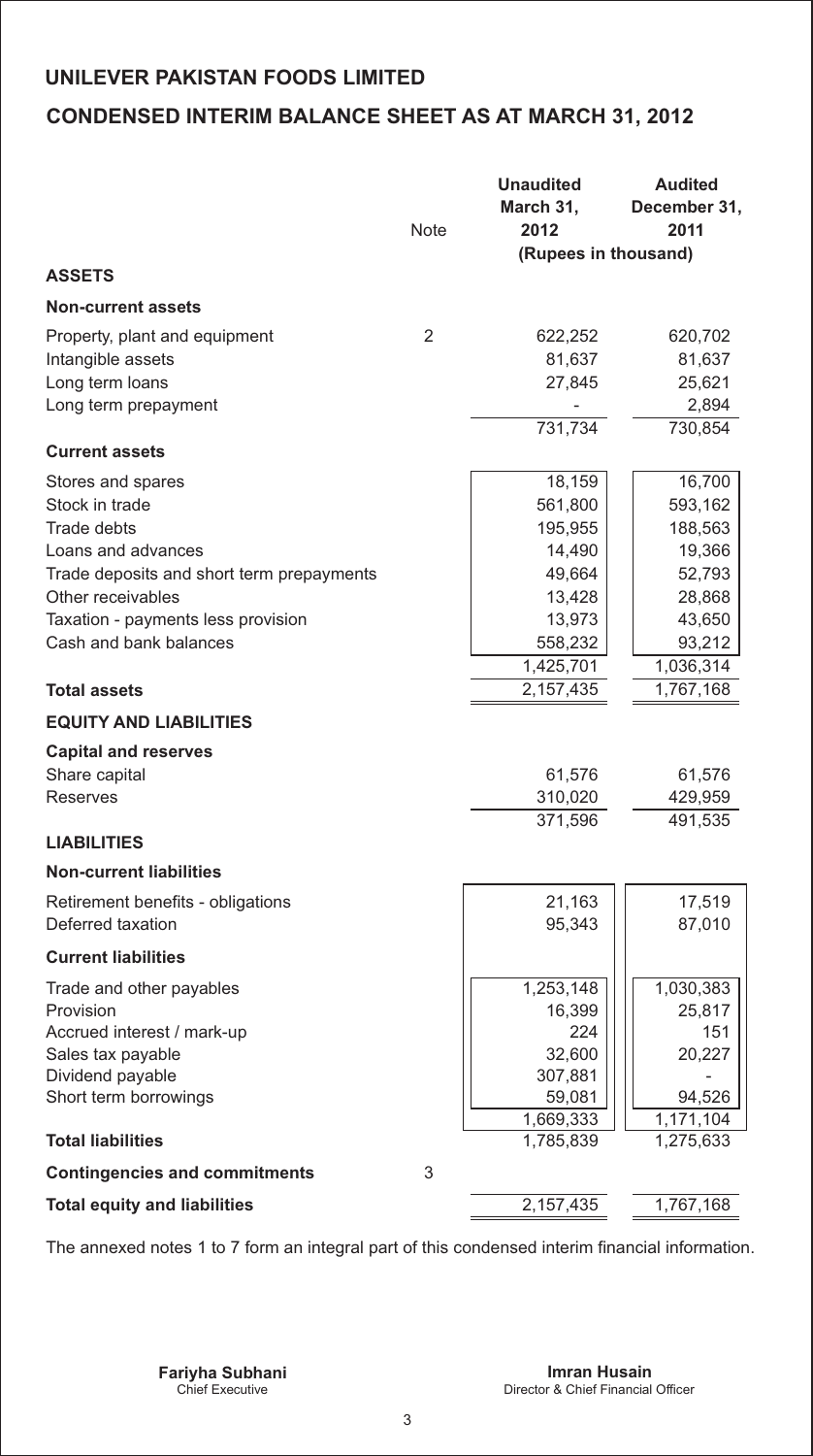# **CONDENSED INTERIM BALANCE SHEET AS AT MARCH 31, 2012**

|                                              | <b>Note</b> | <b>Unaudited</b><br>March 31,<br>2012 | <b>Audited</b><br>December 31,<br>2011 |
|----------------------------------------------|-------------|---------------------------------------|----------------------------------------|
|                                              |             | (Rupees in thousand)                  |                                        |
| <b>ASSETS</b>                                |             |                                       |                                        |
| <b>Non-current assets</b>                    |             |                                       |                                        |
| Property, plant and equipment                | 2           | 622,252                               | 620,702                                |
| Intangible assets                            |             | 81,637                                | 81,637                                 |
| Long term loans                              |             | 27,845                                | 25,621                                 |
| Long term prepayment                         |             | 731,734                               | 2,894<br>730,854                       |
| <b>Current assets</b>                        |             |                                       |                                        |
| Stores and spares                            |             | 18,159                                | 16,700                                 |
| Stock in trade                               |             | 561,800                               | 593,162                                |
| <b>Trade debts</b>                           |             | 195,955                               | 188,563                                |
| Loans and advances                           |             | 14,490                                | 19,366                                 |
| Trade deposits and short term prepayments    |             | 49,664                                | 52,793                                 |
| Other receivables                            |             | 13,428                                | 28,868                                 |
| Taxation - payments less provision           |             | 13,973                                | 43,650                                 |
| Cash and bank balances                       |             | 558,232                               | 93,212                                 |
| <b>Total assets</b>                          |             | 1,425,701<br>2,157,435                | 1,036,314<br>1,767,168                 |
| <b>EQUITY AND LIABILITIES</b>                |             |                                       |                                        |
|                                              |             |                                       |                                        |
| <b>Capital and reserves</b><br>Share capital |             | 61,576                                | 61,576                                 |
| Reserves                                     |             | 310,020                               | 429,959                                |
|                                              |             | 371,596                               | 491,535                                |
| <b>LIABILITIES</b>                           |             |                                       |                                        |
| <b>Non-current liabilities</b>               |             |                                       |                                        |
| Retirement benefits - obligations            |             | 21,163                                | 17,519                                 |
| Deferred taxation                            |             | 95,343                                | 87,010                                 |
| <b>Current liabilities</b>                   |             |                                       |                                        |
| Trade and other payables                     |             | 1,253,148                             | 1,030,383                              |
| Provision                                    |             | 16,399                                | 25,817                                 |
| Accrued interest / mark-up                   |             | 224<br>32,600                         | 151                                    |
| Sales tax payable<br>Dividend payable        |             | 307,881                               | 20,227                                 |
| Short term borrowings                        |             | 59,081                                | 94,526                                 |
|                                              |             | 1,669,333                             | 1,171,104                              |
| <b>Total liabilities</b>                     |             | 1,785,839                             | 1,275,633                              |
| <b>Contingencies and commitments</b>         | 3           |                                       |                                        |
| <b>Total equity and liabilities</b>          |             | 2,157,435                             | 1,767,168                              |

The annexed notes 1 to 7 form an integral part of this condensed interim financial information.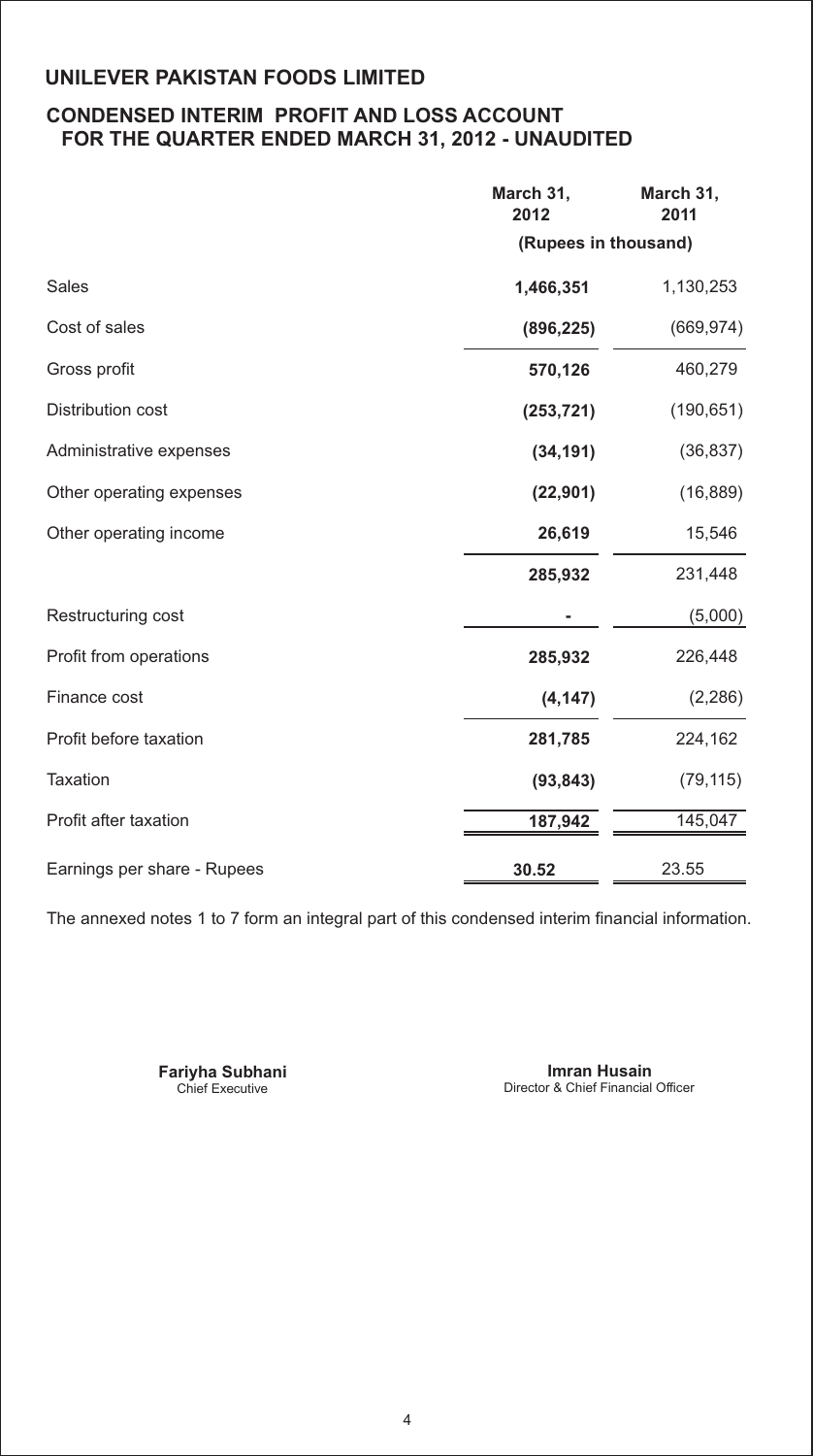# **CONDENSED INTERIM PROFIT AND LOSS ACCOUNT FOR THE QUARTER ENDED MARCH 31, 2012 - UNAUDITED**

|                             | March 31,<br>2012    | March 31,<br>2011 |
|-----------------------------|----------------------|-------------------|
|                             | (Rupees in thousand) |                   |
| Sales                       | 1,466,351            | 1,130,253         |
| Cost of sales               | (896, 225)           | (669, 974)        |
| Gross profit                | 570,126              | 460,279           |
| Distribution cost           | (253, 721)           | (190, 651)        |
| Administrative expenses     | (34, 191)            | (36, 837)         |
| Other operating expenses    | (22, 901)            | (16, 889)         |
| Other operating income      | 26,619               | 15,546            |
|                             | 285,932              | 231,448           |
| Restructuring cost          |                      | (5,000)           |
| Profit from operations      | 285,932              | 226,448           |
| Finance cost                | (4, 147)             | (2, 286)          |
| Profit before taxation      | 281,785              | 224,162           |
| <b>Taxation</b>             | (93, 843)            | (79, 115)         |
| Profit after taxation       | 187,942              | 145,047           |
| Earnings per share - Rupees | 30.52                | 23.55             |

The annexed notes 1 to 7 form an integral part of this condensed interim financial information.

**Fariyha Subhani**<br>Chief Executive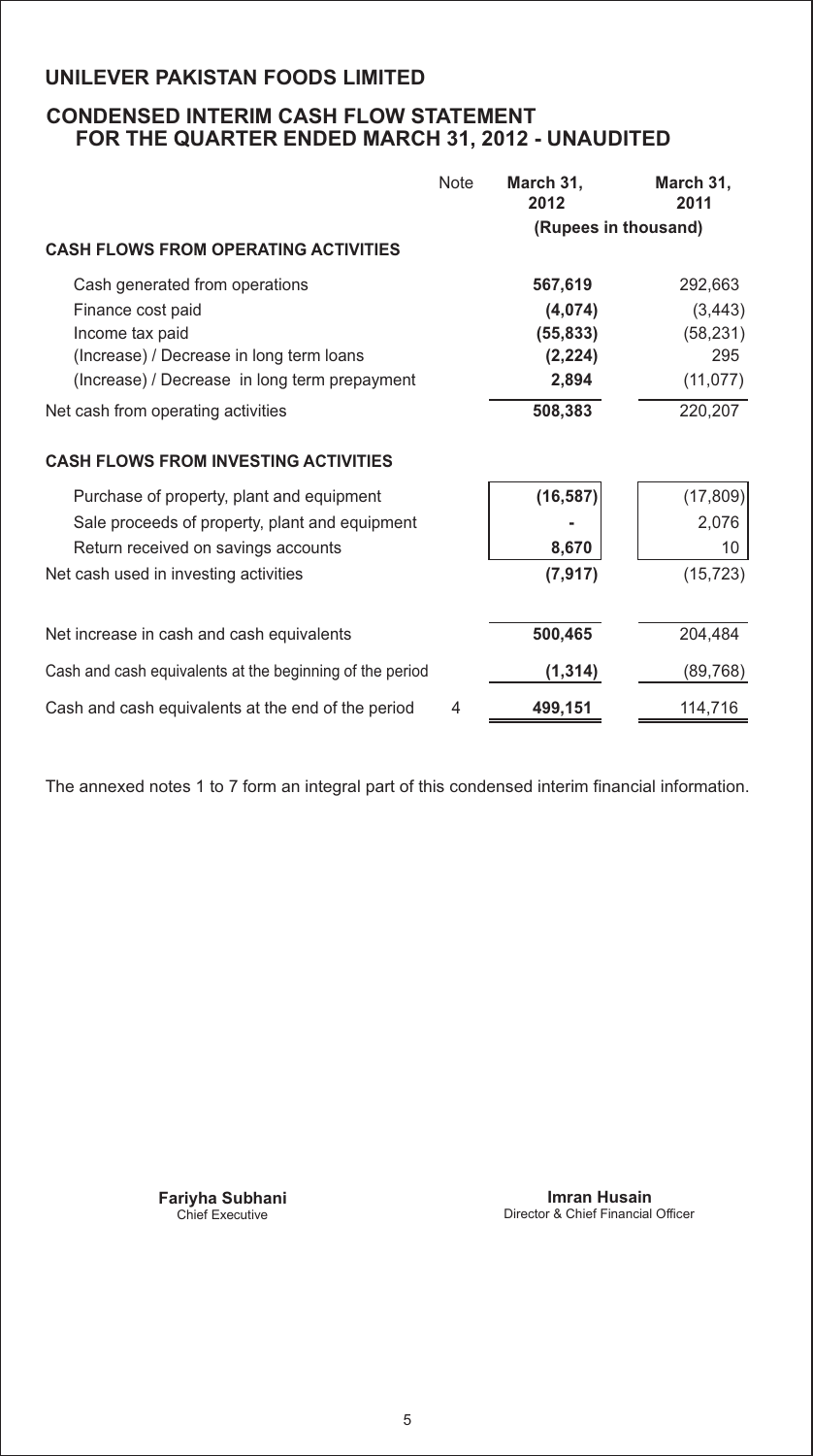## **CONDENSED INTERIM CASH FLOW STATEMENT FOR THE QUARTER ENDED MARCH 31, 2012 - UNAUDITED**

|                                                                                                                                                                             | <b>Note</b> | March 31,<br>2012<br>(Rupees in thousand)            | March 31,<br>2011                                    |
|-----------------------------------------------------------------------------------------------------------------------------------------------------------------------------|-------------|------------------------------------------------------|------------------------------------------------------|
| <b>CASH FLOWS FROM OPERATING ACTIVITIES</b>                                                                                                                                 |             |                                                      |                                                      |
| Cash generated from operations<br>Finance cost paid<br>Income tax paid<br>(Increase) / Decrease in long term loans<br>(Increase) / Decrease in long term prepayment         |             | 567,619<br>(4,074)<br>(55, 833)<br>(2, 224)<br>2,894 | 292,663<br>(3, 443)<br>(58, 231)<br>295<br>(11, 077) |
| Net cash from operating activities                                                                                                                                          |             | 508,383                                              | 220,207                                              |
| <b>CASH FLOWS FROM INVESTING ACTIVITIES</b>                                                                                                                                 |             |                                                      |                                                      |
| Purchase of property, plant and equipment<br>Sale proceeds of property, plant and equipment<br>Return received on savings accounts<br>Net cash used in investing activities |             | (16, 587)<br>8,670<br>(7, 917)                       | (17, 809)<br>2,076<br>10<br>(15, 723)                |
|                                                                                                                                                                             |             |                                                      |                                                      |
| Net increase in cash and cash equivalents                                                                                                                                   |             | 500,465                                              | 204,484                                              |
| Cash and cash equivalents at the beginning of the period                                                                                                                    |             | (1, 314)                                             | (89, 768)                                            |
| Cash and cash equivalents at the end of the period                                                                                                                          | 4           | 499,151                                              | 114,716                                              |

The annexed notes 1 to 7 form an integral part of this condensed interim financial information.

**Fariyha Subhani**<br>Chief Executive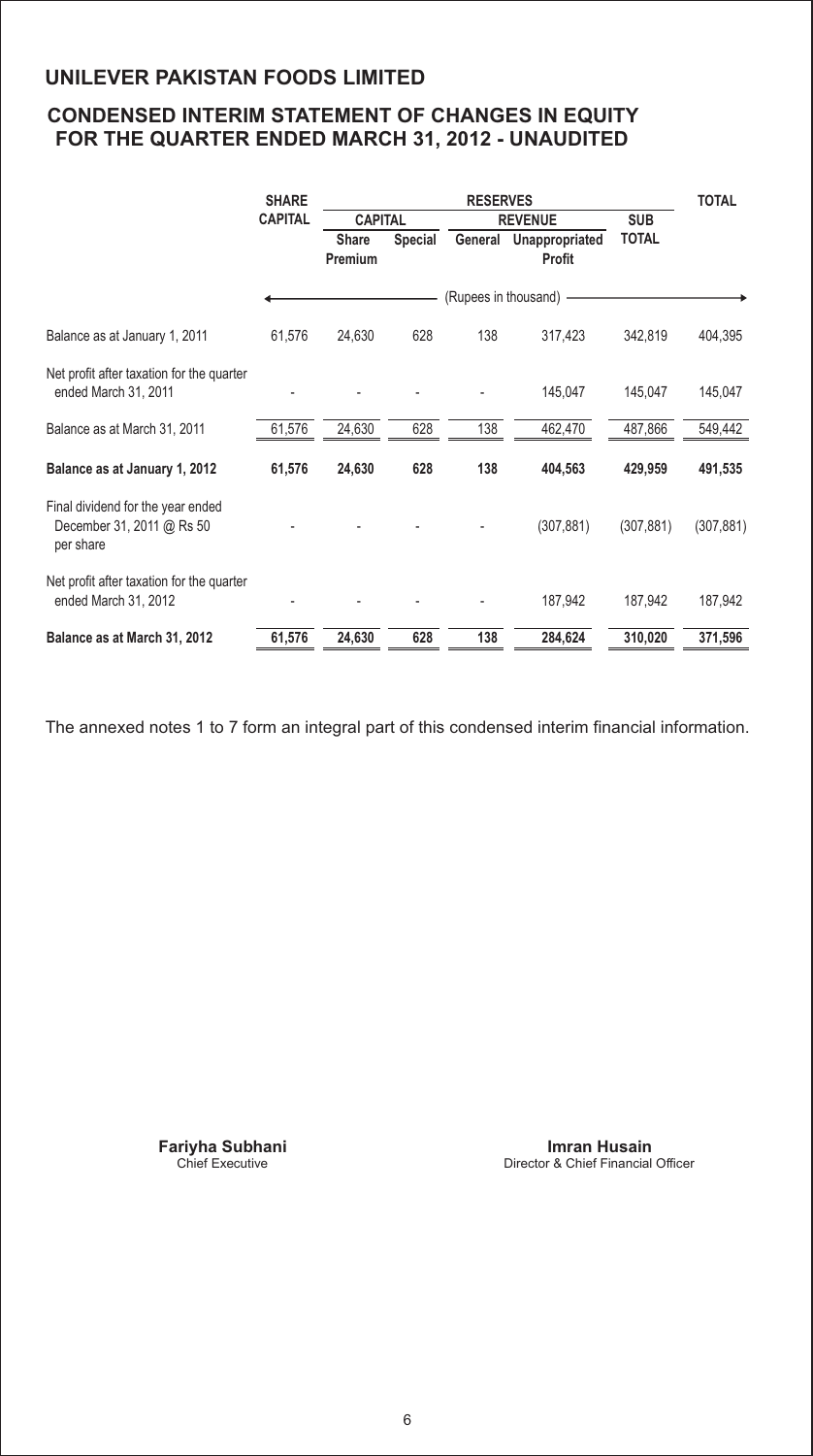# **CONDENSED INTERIM STATEMENT OF CHANGES IN EQUITY FOR THE QUARTER ENDED MARCH 31, 2012 - UNAUDITED**

|                                                                             | <b>SHARE</b>   | <b>RESERVES</b>                  |                |            |                                 |              | <b>TOTAL</b> |
|-----------------------------------------------------------------------------|----------------|----------------------------------|----------------|------------|---------------------------------|--------------|--------------|
|                                                                             | <b>CAPITAL</b> | <b>CAPITAL</b><br><b>REVENUE</b> |                | <b>SUB</b> |                                 |              |              |
|                                                                             |                | Share<br>Premium                 | <b>Special</b> | General    | Unappropriated<br><b>Profit</b> | <b>TOTAL</b> |              |
|                                                                             |                |                                  |                |            | (Rupees in thousand) -          |              |              |
| Balance as at January 1, 2011                                               | 61,576         | 24,630                           | 628            | 138        | 317,423                         | 342,819      | 404,395      |
| Net profit after taxation for the quarter<br>ended March 31, 2011           |                |                                  |                |            | 145,047                         | 145,047      | 145,047      |
| Balance as at March 31, 2011                                                | 61,576         | 24,630                           | 628            | 138        | 462,470                         | 487,866      | 549,442      |
| Balance as at January 1, 2012                                               | 61,576         | 24,630                           | 628            | 138        | 404.563                         | 429,959      | 491,535      |
| Final dividend for the year ended<br>December 31, 2011 @ Rs 50<br>per share |                |                                  |                |            | (307, 881)                      | (307, 881)   | (307, 881)   |
| Net profit after taxation for the quarter<br>ended March 31, 2012           |                |                                  |                |            | 187,942                         | 187,942      | 187,942      |
| Balance as at March 31, 2012                                                | 61,576         | 24,630                           | 628            | 138        | 284,624                         | 310,020      | 371,596      |

The annexed notes 1 to 7 form an integral part of this condensed interim financial information.

**Fariyha Subhani**<br>Chief Executive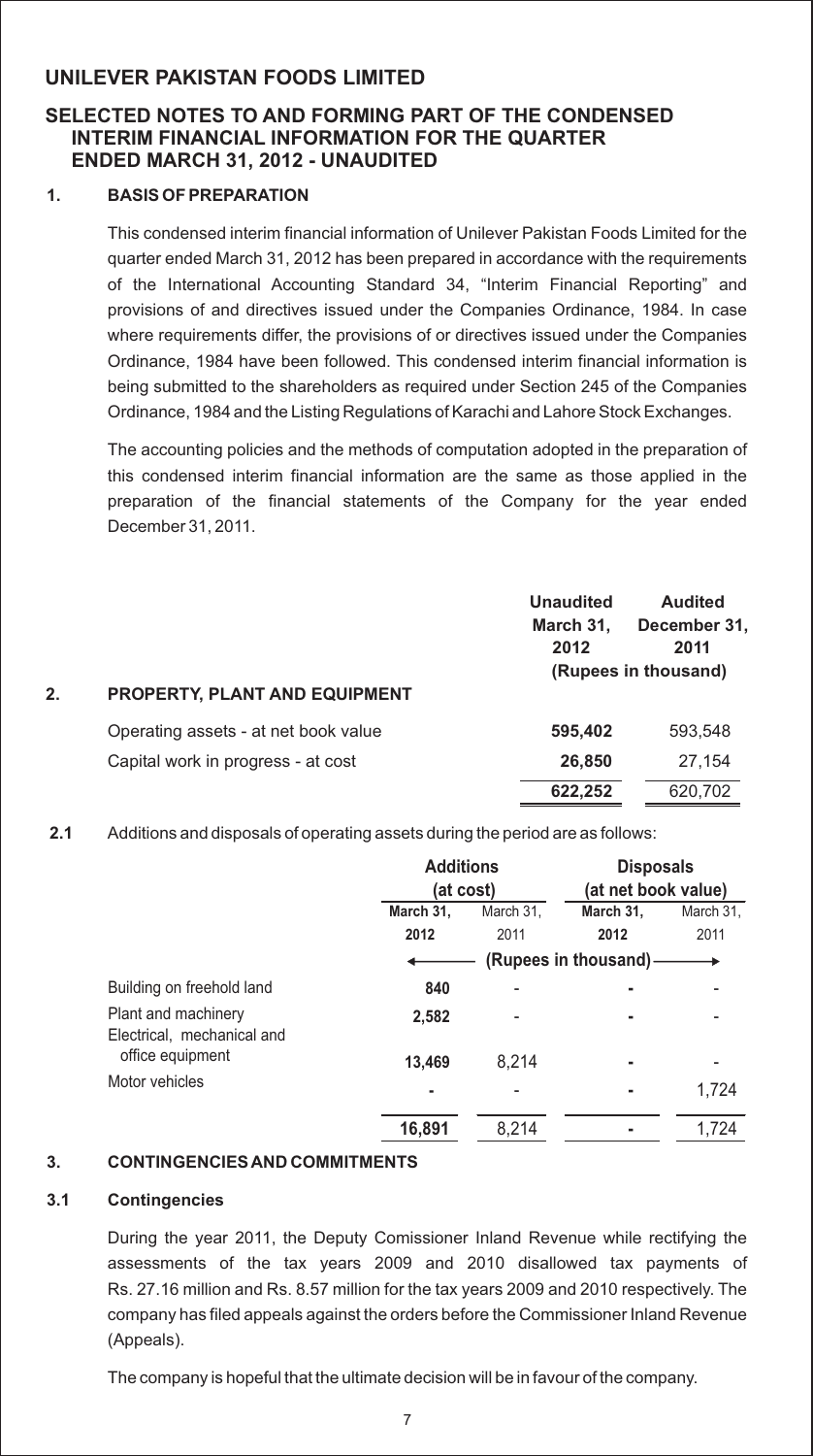## **SELECTED NOTES TO AND FORMING PART OF THE CONDENSED INTERIM FINANCIAL INFORMATION FOR THE QUARTER ENDED MARCH 31, 2012 - UNAUDITED**

#### **1. BASIS OF PREPARATION**

This condensed interim financial information of Unilever Pakistan Foods Limited for the quarter ended March 31, 2012 has been prepared in accordance with the requirements of the International Accounting Standard 34, "Interim Financial Reporting" and provisions of and directives issued under the Companies Ordinance, 1984. In case where requirements differ, the provisions of or directives issued under the Companies Ordinance, 1984 have been followed. This condensed interim financial information is being submitted to the shareholders as required under Section 245 of the Companies Ordinance, 1984 and the Listing Regulations of Karachi and Lahore Stock Exchanges.

The accounting policies and the methods of computation adopted in the preparation of this condensed interim financial information are the same as those applied in the preparation of the financial statements of the Company for the year ended December 31, 2011.

| 2. | PROPERTY, PLANT AND EQUIPMENT        | <b>Unaudited</b><br>March 31,<br>2012 | <b>Audited</b><br>December 31,<br>2011<br>(Rupees in thousand) |  |
|----|--------------------------------------|---------------------------------------|----------------------------------------------------------------|--|
|    | Operating assets - at net book value | 595,402                               | 593,548                                                        |  |
|    | Capital work in progress - at cost   | 26,850                                | 27.154                                                         |  |
|    |                                      | 622,252                               | 620.702                                                        |  |

#### **2.1** Additions and disposals of operating assets during the period are as follows:

|                                                   | <b>Additions</b><br>(at cost) |           | <b>Disposals</b>      |           |
|---------------------------------------------------|-------------------------------|-----------|-----------------------|-----------|
|                                                   |                               |           | (at net book value)   |           |
|                                                   | March 31,                     | March 31. | March 31.             | March 31. |
|                                                   | 2012                          | 2011      | 2012                  | 2011      |
|                                                   |                               |           | (Rupees in thousand)- |           |
| Building on freehold land                         | 840                           |           | ۰                     |           |
| Plant and machinery<br>Electrical, mechanical and | 2,582                         |           | ۰                     |           |
| office equipment                                  | 13,469                        | 8,214     | ۰                     |           |
| Motor vehicles                                    | ۰                             |           |                       | 1,724     |
|                                                   | 16,891                        | 8.214     |                       | 1.724     |

#### **3. CONTINGENCIES AND COMMITMENTS**

#### **3.1 Contingencies**

During the year 2011, the Deputy Comissioner Inland Revenue while rectifying the assessments of the tax years 2009 and 2010 disallowed tax payments of Rs. 27.16 million and Rs. 8.57 million for the tax years 2009 and 2010 respectively. The company has filed appeals against the orders before the Commissioner Inland Revenue (Appeals).

The company is hopeful that the ultimate decision will be in favour of the company.